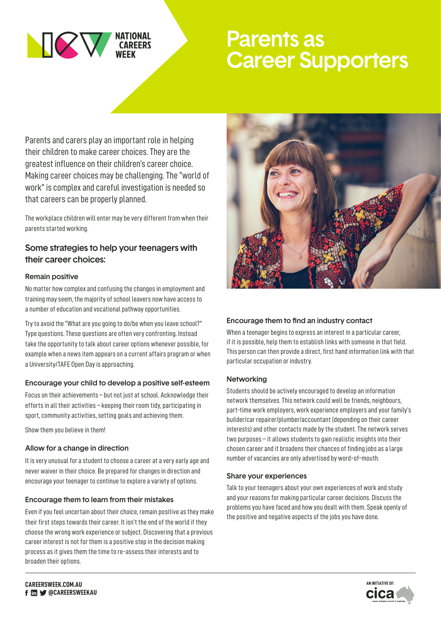

# Parents as Career Supporters

Parents and carers play an important role in helping their children to make career choices. They are the greatest influence on their children's career choice. Making career choices may be challenging. The "world of work" is complex and careful investigation is needed so that careers can be properly planned.

The workplace children will enter may be very different from when their parents started working.

# Some strategies to help your teenagers with their career choices:

#### Remain positive

No matter how complex and confusing the changes in employment and training may seem, the majority of school leavers now have access to a number of education and vocational pathway opportunities.

Try to avoid the "What are you going to do/be when you leave school?" Type questions. These questions are often very confronting. Instead take the opportunity to talk about career options whenever possible, for example when a news item appears on a current affairs program or when a University/TAFE Open Day is approaching.

# Encourage your child to develop a positive self-esteem

Focus on their achievements – but not just at school. Acknowledge their efforts in all their activities – keeping their room tidy, participating in sport, community activities, setting goals and achieving them.

Show them you believe in them!

# Allow for a change in direction

It is very unusual for a student to choose a career at a very early age and never waiver in their choice. Be prepared for changes in direction and encourage your teenager to continue to explore a variety of options.

# Encourage them to learn from their mistakes

Even if you feel uncertain about their choice, remain positive as they make their first steps towards their career. It isn't the end of the world if they choose the wrong work experience or subject. Discovering that a previous career interest is not for them is a positive step in the decision making process as it gives them the time to re-assess their interests and to broaden their options.



# Encourage them to find an industry contact

When a teenager begins to express an interest in a particular career, if it is possible, help them to establish links with someone in that field. This person can then provide a direct, first hand information link with that particular occupation or industry.

#### Networking

Students should be actively encouraged to develop an information network themselves. This network could well be friends, neighbours, part-time work employers, work experience employers and your family's builder/car repairer/plumber/accountant (depending on their career interests) and other contacts made by the student. The network serves two purposes – it allows students to gain realistic insights into their chosen career and it broadens their chances of finding jobs as a large number of vacancies are only advertised by word-of-mouth.

#### Share your experiences

Talk to your teenagers about your own experiences of work and study and your reasons for making particular career decisions. Discuss the problems you have faced and how you dealt with them. Speak openly of the positive and negative aspects of the jobs you have done.